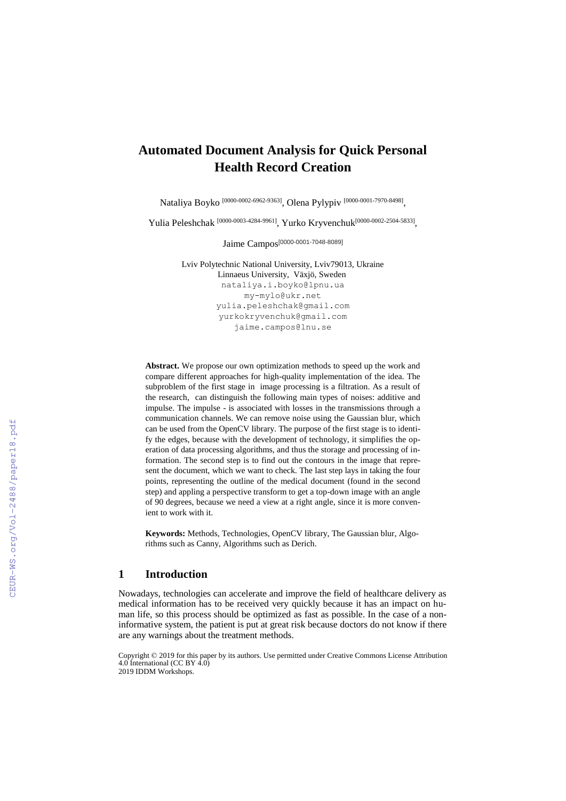# **Automated Document Analysis for Quick Personal Health Record Creation**

Nataliya Boyko [0000-0002-6962-9363] , Olena Pylypiv [0000-0001-7970-8498] ,

Yulia Peleshchak <sup>[0000-0003-4284-9961]</sup>, Yurko Kryvenchuk<sup>[0000-0002-2504-5833]</sup>,

Jaime Campos[0000-0001-7048-8089]

Lviv Polytechnic National University, Lviv79013, Ukraine Linnaeus University, Växjö, Sweden [nataliya.i.boyko@lpnu.ua](mailto:nataliya.i.boyko@lpnu.ua) [my-mylo@ukr.net](mailto:my-mylo@ukr.net) [yulia.peleshchak@gmail.com](mailto:yulia.peleshchak@gmail.com) [yurkokryvenchuk@gmail.com](mailto:yurkokryvenchuk@gmail.com) [jaime.campos@lnu.se](mailto:jaime.campos@lnu.se)

**Abstract.** We propose our own optimization methods to speed up the work and compare different approaches for high-quality implementation of the idea. The subproblem of the first stage in image processing is a filtration. As a result of the research, can distinguish the following main types of noises: additive and impulse. The impulse - is associated with losses in the transmissions through a communication channels. We can remove noise using the Gaussian blur, which can be used from the OpenCV library. The purpose of the first stage is to identify the edges, because with the development of technology, it simplifies the operation of data processing algorithms, and thus the storage and processing of information. The second step is to find out the contours in the image that represent the document, which we want to check. The last step lays in taking the four points, representing the outline of the medical document (found in the second step) and appling a perspective transform to get a top-down image with an angle of 90 degrees, because we need a view at a right angle, since it is more convenient to work with it.

**Keywords:** Methods, Technologies, OpenCV library, The Gaussian blur, Algorithms such as Canny, Algorithms such as Derich.

#### **1 Introduction**

Nowadays, technologies can accelerate and improve the field of healthcare delivery as medical information has to be received very quickly because it has an impact on human life, so this process should be optimized as fast as possible. In the case of a noninformative system, the patient is put at great risk because doctors do not know if there are any warnings about the treatment methods.

Copyright © 2019 for this paper by its authors. Use permitted under Creative Commons License Attribution 4.0 International (CC BY 4.0) 2019 IDDM Workshops.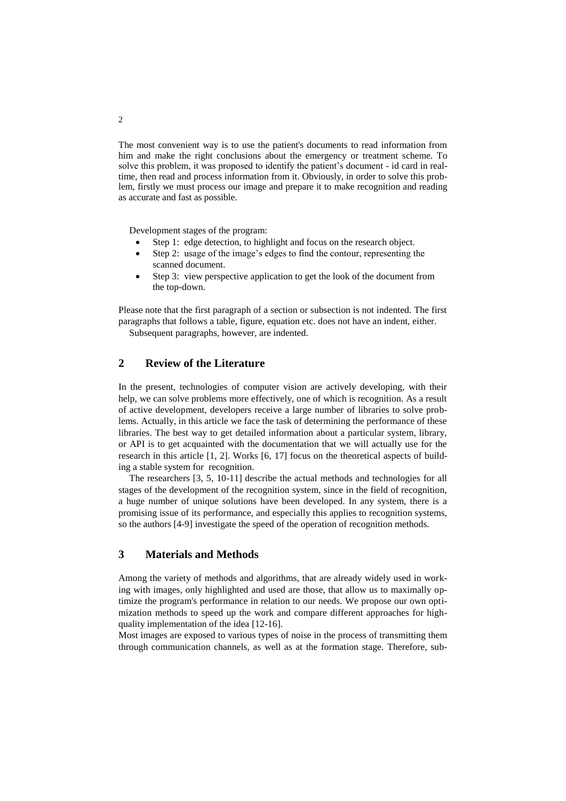The most convenient way is to use the patient's documents to read information from him and make the right conclusions about the emergency or treatment scheme. To solve this problem, it was proposed to identify the patient's document - id card in realtime, then read and process information from it. Obviously, in order to solve this problem, firstly we must process our image and prepare it to make recognition and reading as accurate and fast as possible.

Development stages of the program:

- Step 1: edge detection, to highlight and focus on the research object.
- Step 2: usage of the image's edges to find the contour, representing the scanned document.
- Step 3: view perspective application to get the look of the document from the top-down.

Please note that the first paragraph of a section or subsection is not indented. The first paragraphs that follows a table, figure, equation etc. does not have an indent, either.

Subsequent paragraphs, however, are indented.

# **2 Review of the Literature**

In the present, technologies of computer vision are actively developing, with their help, we can solve problems more effectively, one of which is recognition. As a result of active development, developers receive a large number of libraries to solve problems. Actually, in this article we face the task of determining the performance of these libraries. The best way to get detailed information about a particular system, library, or API is to get acquainted with the documentation that we will actually use for the research in this article [1, 2]. Works [6, 17] focus on the theoretical aspects of building a stable system for recognition.

The researchers [3, 5, 10-11] describe the actual methods and technologies for all stages of the development of the recognition system, since in the field of recognition, a huge number of unique solutions have been developed. In any system, there is a promising issue of its performance, and especially this applies to recognition systems, so the authors [4-9] investigate the speed of the operation of recognition methods.

## **3 Materials and Methods**

Among the variety of methods and algorithms, that are already widely used in working with images, only highlighted and used are those, that allow us to maximally optimize the program's performance in relation to our needs. We propose our own optimization methods to speed up the work and compare different approaches for highquality implementation of the idea [12-16].

Most images are exposed to various types of noise in the process of transmitting them through communication channels, as well as at the formation stage. Therefore, sub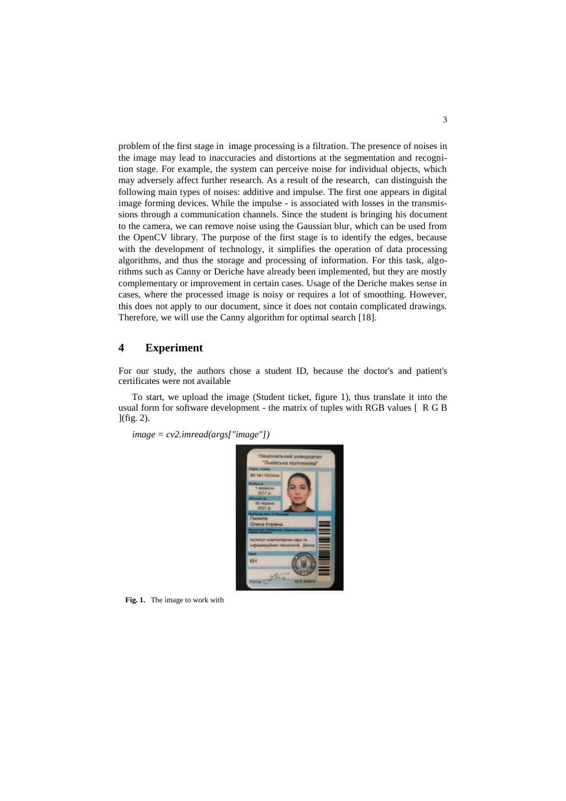problem of the first stage in image processing is a filtration. The presence of noises in the image may lead to inaccuracies and distortions at the segmentation and recognition stage. For example, the system can perceive noise for individual objects, which may adversely affect further research. As a result of the research, can distinguish the following main types of noises: additive and impulse. The first one appears in digital image forming devices. While the impulse - is associated with losses in the transmissions through a communication channels. Since the student is bringing his document to the camera, we can remove noise using the Gaussian blur, which can be used from the OpenCV library. The purpose of the first stage is to identify the edges, because with the development of technology, it simplifies the operation of data processing algorithms, and thus the storage and processing of information. For this task, algorithms such as Canny or Deriche have already been implemented, but they are mostly complementary or improvement in certain cases. Usage of the Deriche makes sense in cases, where the processed image is noisy or requires a lot of smoothing. However, this does not apply to our document, since it does not contain complicated drawings. Therefore, we will use the Canny algorithm for optimal search [18].

#### **4 Experiment**

For our study, the authors chose a student ID, because the doctor's and patient's certificates were not available

To start, we upload the image (Student ticket, figure 1), thus translate it into the usual form for software development - the matrix of tuples with RGB values [ R G B ](fig. 2).

*image = cv2.imread(args["image"])*



**Fig. 1.** The image to work with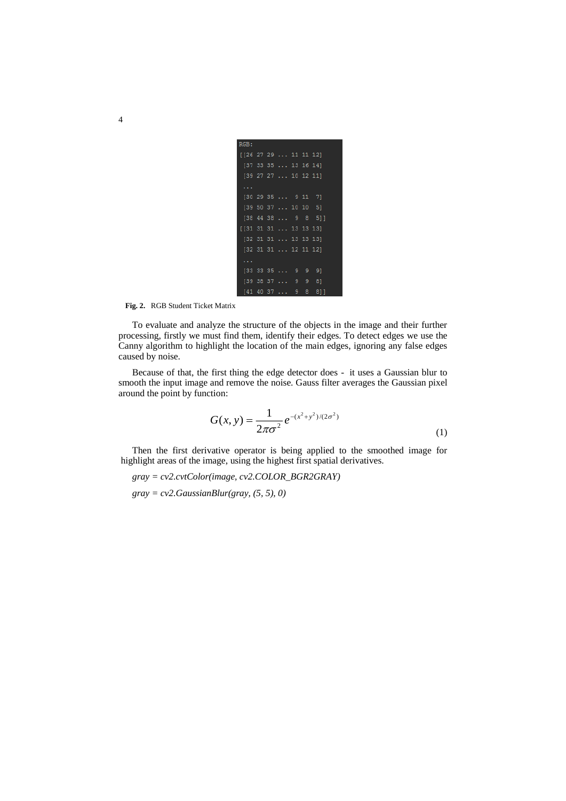| RGB:                                     |  |                                          |  |                                 |  |
|------------------------------------------|--|------------------------------------------|--|---------------------------------|--|
| [26 27 29  11 11 12]                     |  |                                          |  |                                 |  |
|                                          |  | [37 33 35  13 16 14]                     |  |                                 |  |
|                                          |  | [39 27 27  10 12 11]                     |  |                                 |  |
|                                          |  |                                          |  |                                 |  |
|                                          |  | [30 29 35  9 11 7]                       |  |                                 |  |
|                                          |  | [39 50 37  10 10 5]                      |  |                                 |  |
|                                          |  |                                          |  | $[38, 44, 38, \ldots, 9, 8, 5]$ |  |
| $[31 \ 31 \ 31 \ \ldots \ 13 \ 13 \ 13]$ |  |                                          |  |                                 |  |
|                                          |  | $[32 \ 31 \ 31 \ \ldots \ 13 \ 13 \ 13]$ |  |                                 |  |
|                                          |  | $[32 \ 31 \ 31 \ \ldots \ 12 \ 11 \ 12]$ |  |                                 |  |
| .                                        |  |                                          |  |                                 |  |
|                                          |  | $[33\ 33\ 35\ \ldots\ 9\ 9\ 9]$          |  |                                 |  |
|                                          |  | [39 38 37  9 9                           |  | 81                              |  |
|                                          |  |                                          |  | [41 40 37  9 8 8]]              |  |

**Fig. 2.** RGB Student Ticket Matrix

To evaluate and analyze the structure of the objects in the image and their further processing, firstly we must find them, identify their edges. To detect edges we use the Canny algorithm to highlight the location of the main edges, ignoring any false edges caused by noise.

Because of that, the first thing the edge detector does - it uses a Gaussian blur to smooth the input image and remove the noise. Gauss filter averages the Gaussian pixel around the point by function:

$$
G(x, y) = \frac{1}{2\pi\sigma^2} e^{-(x^2 + y^2)/(2\sigma^2)}
$$
 (1)

Then the first derivative operator is being applied to the smoothed image for highlight areas of the image, using the highest first spatial derivatives.

*gray = cv2.cvtColor(image, cv2.COLOR\_BGR2GRAY)*

*gray = cv2.GaussianBlur(gray, (5, 5), 0)*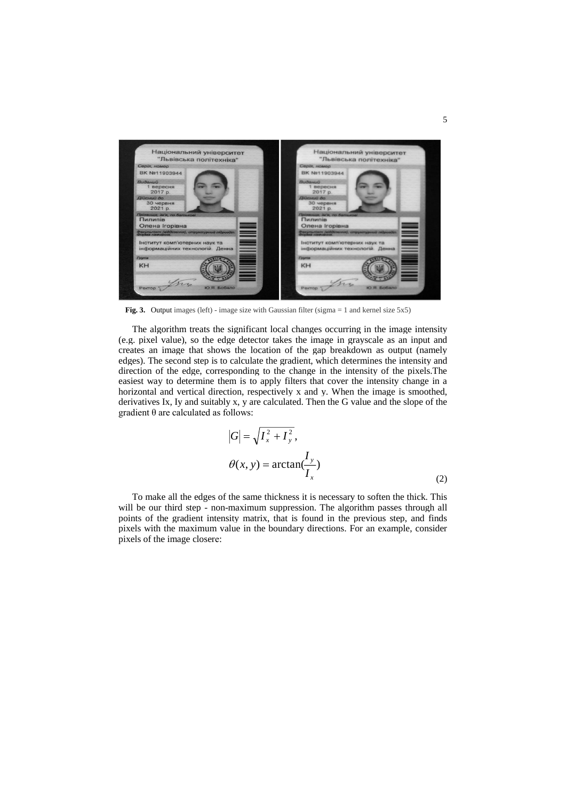

Fig. 3. Output images (left) - image size with Gaussian filter (sigma = 1 and kernel size 5x5)

The algorithm treats the significant local changes occurring in the image intensity (e.g. pixel value), so the edge detector takes the image in grayscale as an input and creates an image that shows the location of the gap breakdown as output (namely edges). The second step is to calculate the gradient, which determines the intensity and direction of the edge, corresponding to the change in the intensity of the pixels.The easiest way to determine them is to apply filters that cover the intensity change in a horizontal and vertical direction, respectively x and y. When the image is smoothed, derivatives Ix, Iy and suitably x, y are calculated. Then the G value and the slope of the gradient θ are calculated as follows:

$$
|G| = \sqrt{I_x^2 + I_y^2},
$$
  
\n
$$
\theta(x, y) = \arctan(\frac{I_y}{I_x})
$$
 (2)

To make all the edges of the same thickness it is necessary to soften the thick. This will be our third step - non-maximum suppression. The algorithm passes through all points of the gradient intensity matrix, that is found in the previous step, and finds pixels with the maximum value in the boundary directions. For an example, consider pixels of the image closerе: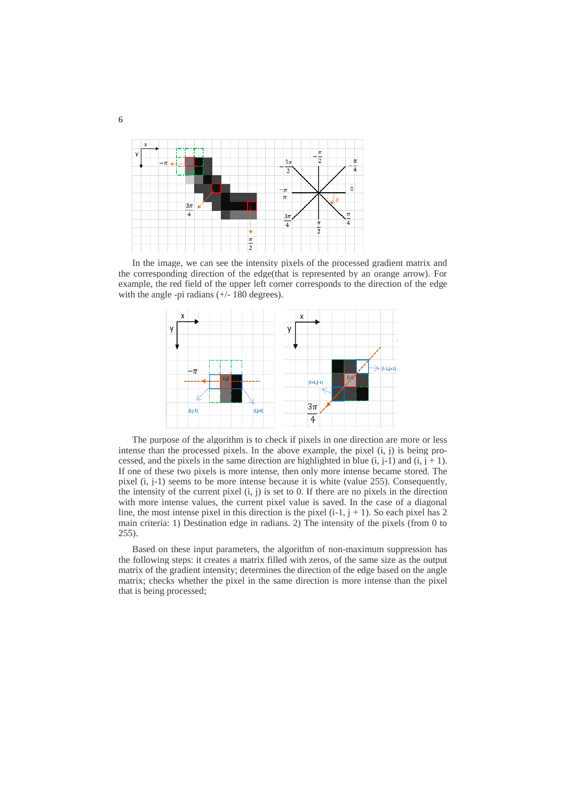

In the image, we can see the intensity pixels of the processed gradient matrix and the corresponding direction of the edge(that is represented by an orange arrow). For example, the red field of the upper left corner corresponds to the direction of the edge with the angle -pi radians (+/- 180 degrees).



The purpose of the algorithm is to check if pixels in one direction are more or less intense than the processed pixels. In the above example, the pixel (i, j) is being processed, and the pixels in the same direction are highlighted in blue  $(i, j-1)$  and  $(i, j + 1)$ . If one of these two pixels is more intense, then only more intense became stored. The pixel (i, j-1) seems to be more intense because it is white (value 255). Consequently, the intensity of the current pixel  $(i, j)$  is set to 0. If there are no pixels in the direction with more intense values, the current pixel value is saved. In the case of a diagonal line, the most intense pixel in this direction is the pixel  $(i-1, j + 1)$ . So each pixel has 2 main criteria: 1) Destination edge in radians. 2) The intensity of the pixels (from 0 to 255).

Based on these input parameters, the algorithm of non-maximum suppression has the following steps: it creates a matrix filled with zeros, of the same size as the output matrix of the gradient intensity; determines the direction of the edge based on the angle matrix; checks whether the pixel in the same direction is more intense than the pixel that is being processed;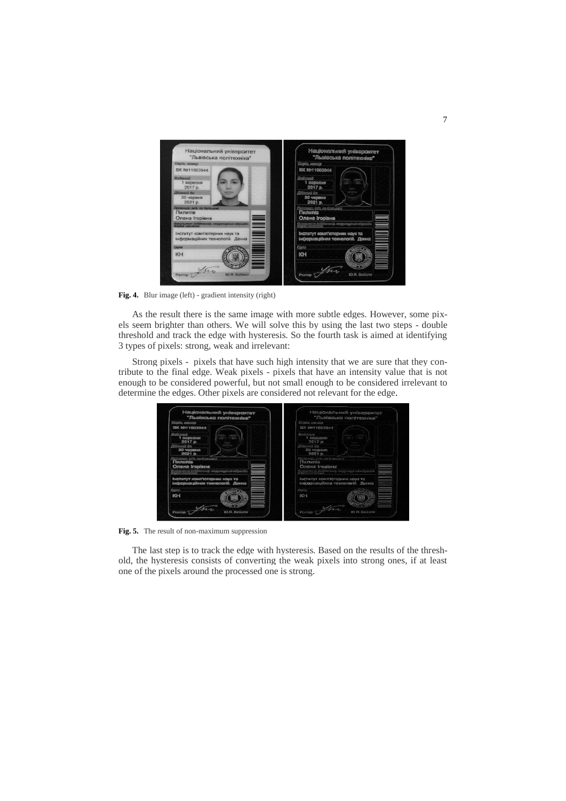

**Fig. 4.** Blur image (left) - gradient intensity (right)

As the result there is the same image with more subtle edges. However, some pixels seem brighter than others. We will solve this by using the last two steps - double threshold and track the edge with hysteresis. So the fourth task is aimed at identifying 3 types of pixels: strong, weak and irrelevant:

Strong pixels - pixels that have such high intensity that we are sure that they contribute to the final edge. Weak pixels - pixels that have an intensity value that is not enough to be considered powerful, but not small enough to be considered irrelevant to determine the edges. Other pixels are considered not relevant for the edge.

| "Jimmincanta nonivexitiva"                                                     | "Jitohimchts Fictivezoitza"                                             |
|--------------------------------------------------------------------------------|-------------------------------------------------------------------------|
| Copia, manage                                                                  | Cossia, canage                                                          |
| <b>BK Me11903944</b>                                                           | <b>BK Me11BO3SAA</b>                                                    |
| <b>Shakkoowell</b><br>$1$ <i><b>EQDECHIO</b></i><br>$2017a$ .                  | Stochteaux<br>1 ROODCHO<br>2017a                                        |
| <b>Clinoceula</b> Bro<br>30 червня<br>2021 p.                                  | ENGLESONIA CON<br>30 <cpssen<br>2021 p.</cpssen<br>                     |
| contact, dayly, mp 60 presences<br><b>Fleameomics</b><br><b>Onexa Iropiana</b> | Fisionness, John are Southearth<br>Пилице<br><b>Currente Insalaura</b>  |
| STRAND ET ATENDADES AND SURFEIT REPAIRING                                      | Sentent mon (cialibronul), enggangsona atipacata                        |
| INCYNTYT KOMM'KOTOSNIK MENA TE<br>імформаційних технологій. Дамиа              | (begrastyr spany'sprogossess same TO<br>інфармаційння технологій. Донна |
| rygana                                                                         | <b>FSKFIG</b>                                                           |
| M <sub>H</sub>                                                                 | <b>OKIM</b>                                                             |
|                                                                                |                                                                         |

**Fig. 5.** The result of non-maximum suppression

The last step is to track the edge with hysteresis. Based on the results of the threshold, the hysteresis consists of converting the weak pixels into strong ones, if at least one of the pixels around the processed one is strong.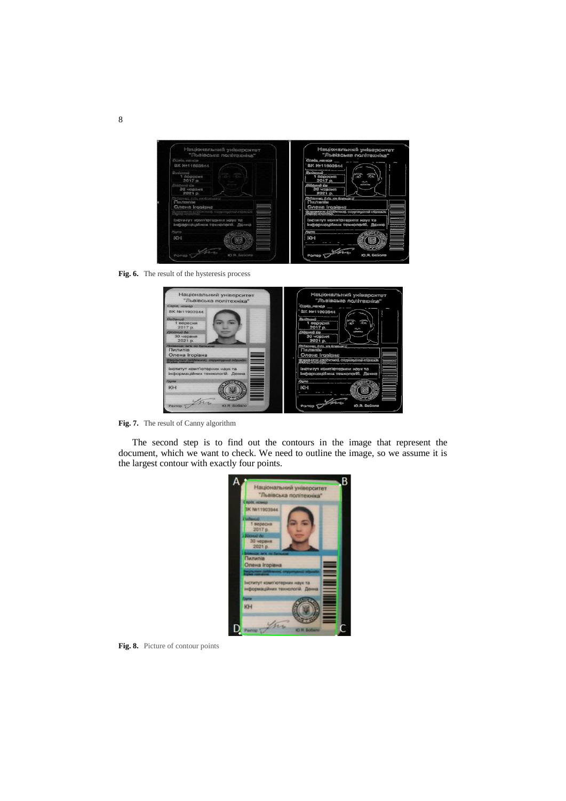

**Fig. 6.** The result of the hysteresis process

| Національний університет<br>"Львівська політехніка"                        | Національний університет<br>"Mosiscana nonivazwira"                |
|----------------------------------------------------------------------------|--------------------------------------------------------------------|
| Серія, номер                                                               | Совів, масков                                                      |
| BK Nº11903944                                                              | BK Ne11903944                                                      |
| Виданий<br>вересня<br>2017 p.                                              | Damazonen<br><b>BOGDOMS</b><br>2017n                               |
| Дійаний до<br>30 червня<br>2021 p.                                         | eda duncatió<br>30 YOBGWR<br>2021 p.                               |
| Прізвище, ім'я, по батькові<br>Пилипів<br>Олена Ігорівна                   | (Ethernes, folk, en Gomeseo)<br>Пилипів<br><b>Onena Iropiana</b>   |
| ◆<br>Факультет (аідділенне), структурний підрозділ.<br>Форма навчання      | .<br>Grana mera hildikonat, engganyarat niterala.<br>Grana megalap |
| =<br>Інститут комп'ютерних наук та<br>═<br>інформаційних технологій. Денна | CF NORTH NORMALIZATIONS TURNS<br>buggggaaggidnam vennonorbi. Aenna |
| <b>Fpyna</b>                                                               | <b>Phoenix</b>                                                     |
| ▋<br><b>KH</b>                                                             | ለረገኑ                                                               |
| O.B. 505ano<br>Ректор                                                      | IO.SI. SoGons<br><b>Pigenes</b>                                    |

**Fig. 7.** The result of Canny algorithm

The second step is to find out the contours in the image that represent the document, which we want to check. We need to outline the image, so we assume it is the largest contour with exactly four points.



**Fig. 8.** Picture of contour points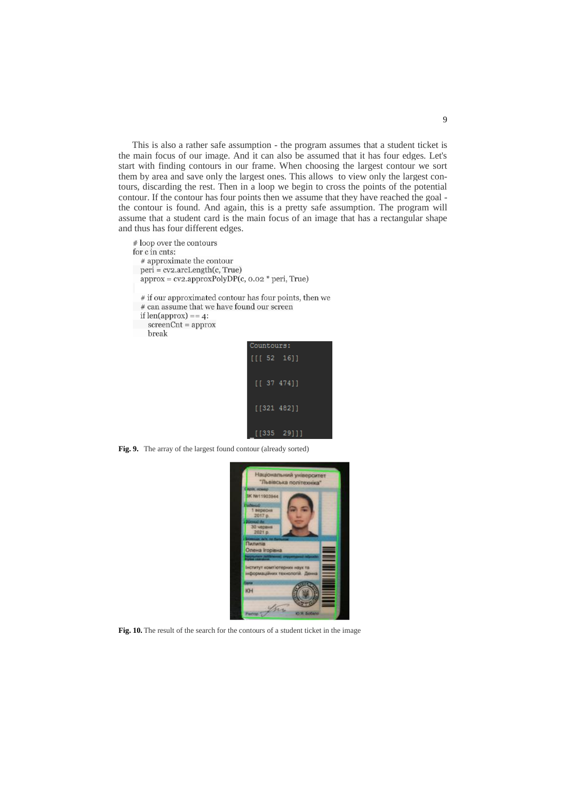This is also a rather safe assumption - the program assumes that a student ticket is the main focus of our image. And it can also be assumed that it has four edges. Let's start with finding contours in our frame. When choosing the largest contour we sort them by area and save only the largest ones. This allows to view only the largest contours, discarding the rest. Then in a loop we begin to cross the points of the potential contour. If the contour has four points then we assume that they have reached the goal the contour is found. And again, this is a pretty safe assumption. The program will assume that a student card is the main focus of an image that has a rectangular shape and thus has four different edges.

# loop over the contours for c in cnts: # approximate the contour  $peri = cv2. arcLength(c, True)$  $approx = cv2.approxPolyDP(c, 0.02 * peri, True)$ 

- $#$  if our approximated contour has four points, then we
- # can assume that we have found our screen
- if  $len(approx) == 4$ :
- $screenCnt = approx$ break



**Fig. 9.** The array of the largest found contour (already sorted)



**Fig. 10.** The result of the search for the contours of a student ticket in the image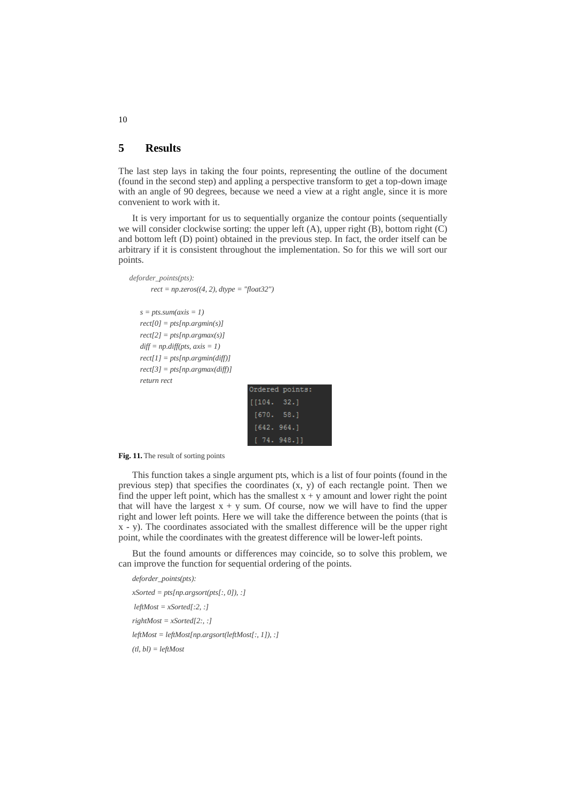### **5 Results**

The last step lays in taking the four points, representing the outline of the document (found in the second step) and appling a perspective transform to get a top-down image with an angle of 90 degrees, because we need a view at a right angle, since it is more convenient to work with it.

It is very important for us to sequentially organize the contour points (sequentially we will consider clockwise sorting: the upper left  $(A)$ , upper right  $(B)$ , bottom right  $(C)$ and bottom left (D) point) obtained in the previous step. In fact, the order itself can be arbitrary if it is consistent throughout the implementation. So for this we will sort our points.

```
deforder_points(pts):
       rect = np.zeros((4, 2), dtype = "float32")
   s = pts.sum(axis = 1)rect[0] = pts[np.argmin(s)]
   rect[2] = pts[np.argmax(s)]
   diff = np.diff(pts, axis = 1)rect[1] = pts[np.argmin(diff)]
   rect[3] = pts[np.argmax(diff)]
   return rect
```

| Ordered points: |  |
|-----------------|--|
| [104. 32.]      |  |
| [670. 58.1]     |  |
| [642, 964.]     |  |
| [74.948.]]      |  |

**Fig. 11.** The result of sorting points

This function takes a single argument pts, which is a list of four points (found in the previous step) that specifies the coordinates  $(x, y)$  of each rectangle point. Then we find the upper left point, which has the smallest  $x + y$  amount and lower right the point that will have the largest  $x + y$  sum. Of course, now we will have to find the upper right and lower left points. Here we will take the difference between the points (that is x - y). The coordinates associated with the smallest difference will be the upper right point, while the coordinates with the greatest difference will be lower-left points.

But the found amounts or differences may coincide, so to solve this problem, we can improve the function for sequential ordering of the points.

*deforder\_points(pts): xSorted = pts[np.argsort(pts[:, 0]), :]*  $leftMost = xSorted[:2, :]$ *rightMost = xSorted[2:, :] leftMost = leftMost[np.argsort(leftMost[:, 1]), :] (tl, bl) = leftMost*

10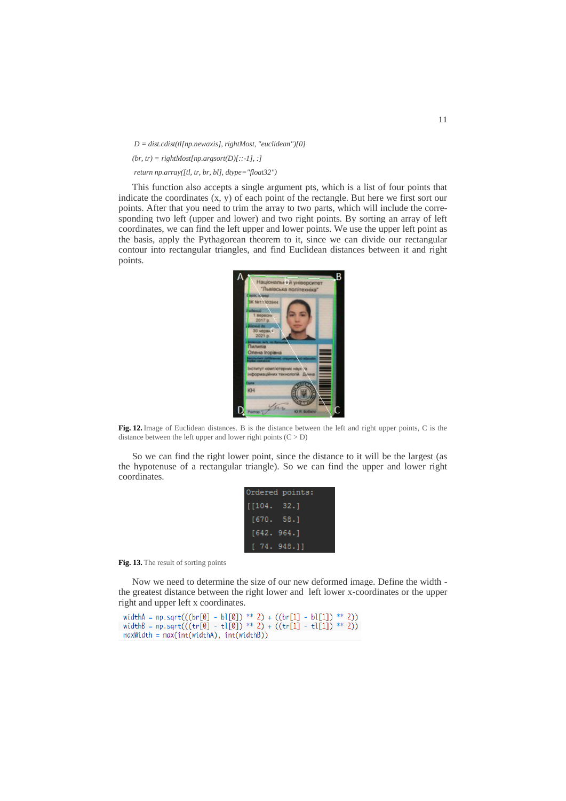*D = dist.cdist(tl[np.newaxis], rightMost, "euclidean")[0]*  $(br, tr) = rightMostInp, argsort(D)$ [::-1], :] *return np.array([tl, tr, br, bl], dtype="float32")*

This function also accepts a single argument pts, which is a list of four points that indicate the coordinates (x, y) of each point of the rectangle. But here we first sort our points. After that you need to trim the array to two parts, which will include the corresponding two left (upper and lower) and two right points. By sorting an array of left coordinates, we can find the left upper and lower points. We use the upper left point as the basis, apply the Pythagorean theorem to it, since we can divide our rectangular contour into rectangular triangles, and find Euclidean distances between it and right points.



**Fig. 12.** Image of Euclidean distances. B is the distance between the left and right upper points, C is the distance between the left upper and lower right points  $(C > D)$ 

So we can find the right lower point, since the distance to it will be the largest (as the hypotenuse of a rectangular triangle). So we can find the upper and lower right coordinates.

| Ordered points: |  |
|-----------------|--|
| [104. 32.]      |  |
| [670. 58.]      |  |
| [642, 964.]     |  |
| [74.948.]       |  |

**Fig. 13.** The result of sorting points

Now we need to determine the size of our new deformed image. Define the width the greatest distance between the right lower and left lower x-coordinates or the upper right and upper left x coordinates.

```
widthA = np.sqrt(((br[0] - bl[0]) ** 2) + ((br[1] - bl[1]) ** 2))<br>widthB = np.sqrt(((tr[0] - tl[0]) ** 2) + ((tr[1] - tl[1]) ** 2))<br>maxWidth = max(int(widthA), int(widthB))
```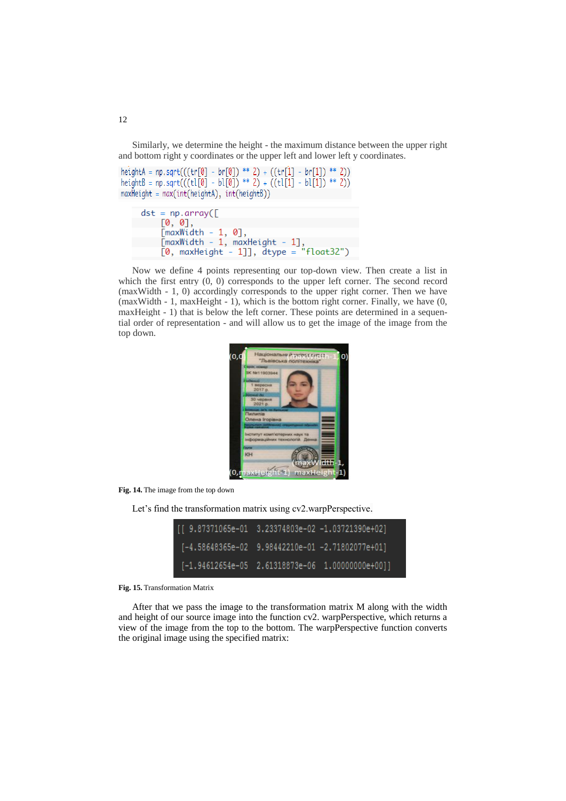Similarly, we determine the height - the maximum distance between the upper right and bottom right y coordinates or the upper left and lower left y coordinates.

```
heightA = np.sqrt(((tr[0] - br[0]) ** 2) + ((tr[1] - br[1]) ** 2))
heightB = np.sqrt(((tl[0] - bl[0]) ** 2) + ((tl[1] - bl[1]) ** 2))
maxHeight = max(int(headth), int(headth))
```

```
dst = np.array([[0, 0],-1, 0],
    TmaxWidth
    [maxWidth - 1, maxHeight - 1]
                                     "float32")
    [0, maxHeight - 1]], \overline{d}type =
```
Now we define 4 points representing our top-down view. Then create a list in which the first entry  $(0, 0)$  corresponds to the upper left corner. The second record (maxWidth - 1, 0) accordingly corresponds to the upper right corner. Then we have (maxWidth - 1, maxHeight - 1), which is the bottom right corner. Finally, we have (0, maxHeight - 1) that is below the left corner. These points are determined in a sequential order of representation - and will allow us to get the image of the image from the top down.



**Fig. 14.** The image from the top down

Let's find the transformation matrix using cv2.warpPerspective.

| [[ 9.87371065e-01 3.23374803e-02 -1.03721390e+02]             |  |
|---------------------------------------------------------------|--|
| [-4.58648365e-02 9.98442210e-01 -2.71802077e+01]              |  |
| $[-1.94612654e-05 \quad 2.61318873e-06 \quad 1.00000000e+00]$ |  |

**Fig. 15.** Transformation Matrix

After that we pass the image to the transformation matrix M along with the width and height of our source image into the function cv2. warpPerspective, which returns a view of the image from the top to the bottom. The warpPerspective function converts the original image using the specified matrix:

12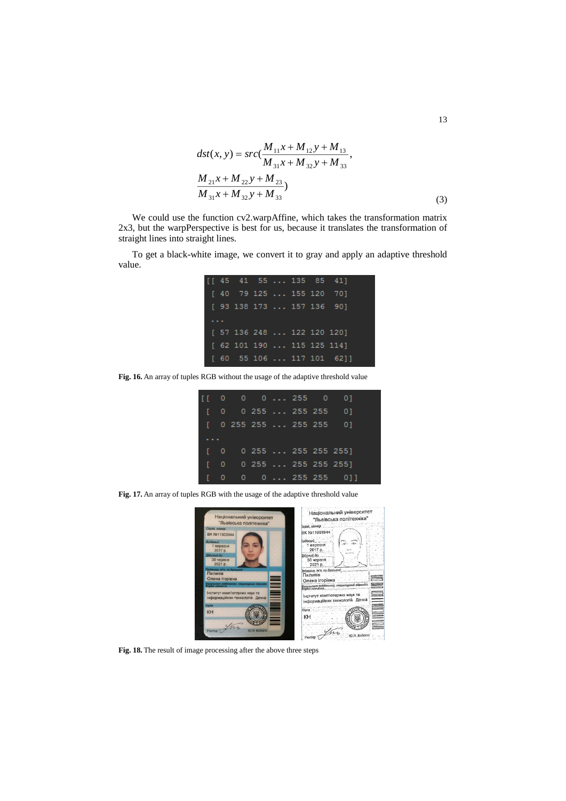$$
dst(x, y) = src(\frac{M_{11}x + M_{12}y + M_{13}}{M_{31}x + M_{32}y + M_{33}},
$$
  

$$
\frac{M_{21}x + M_{22}y + M_{23}}{M_{31}x + M_{32}y + M_{33}})
$$
 (3)

We could use the function cv2.warpAffine, which takes the transformation matrix 2x3, but the warpPerspective is best for us, because it translates the transformation of straight lines into straight lines.

To get a black-white image, we convert it to gray and apply an adaptive threshold value.

|  |  |  | $[$ [ 45 41 55  135 85 41]                        |  |
|--|--|--|---------------------------------------------------|--|
|  |  |  | $[40 \t 79 \t 125 \t \ldots \t 155 \t 120 \t 70]$ |  |
|  |  |  | $[93\ 138\ 173\ \ldots\ 157\ 136\ 90]$            |  |
|  |  |  |                                                   |  |
|  |  |  | [ 57 136 248  122 120 120]                        |  |
|  |  |  | [ 62 101 190  115 125 114]                        |  |
|  |  |  | $[60 55 106 \ldots 117 101 62]]$                  |  |

**Fig. 16.** An array of tuples RGB without the usage of the adaptive threshold value

|  |  |  | $[0 \ 0 \ 0 \ldots 255 \ 0 \ 0]$      |
|--|--|--|---------------------------------------|
|  |  |  | $[0 \ 0 \ 255 \dots 255 \ 255 \ 0]$   |
|  |  |  | $[$ 0 255 255  255 255 0]             |
|  |  |  |                                       |
|  |  |  | $[0 \ 0 \ 255 \dots 255 \ 255 \ 255]$ |
|  |  |  | $[0 \ 0 \ 255 \dots 255 \ 255 \ 255]$ |
|  |  |  | [ 0 0 0  255 255 0]]                  |

**Fig. 17.** An array of tuples RGB with the usage of the adaptive threshold value



**Fig. 18.** The result of image processing after the above three steps